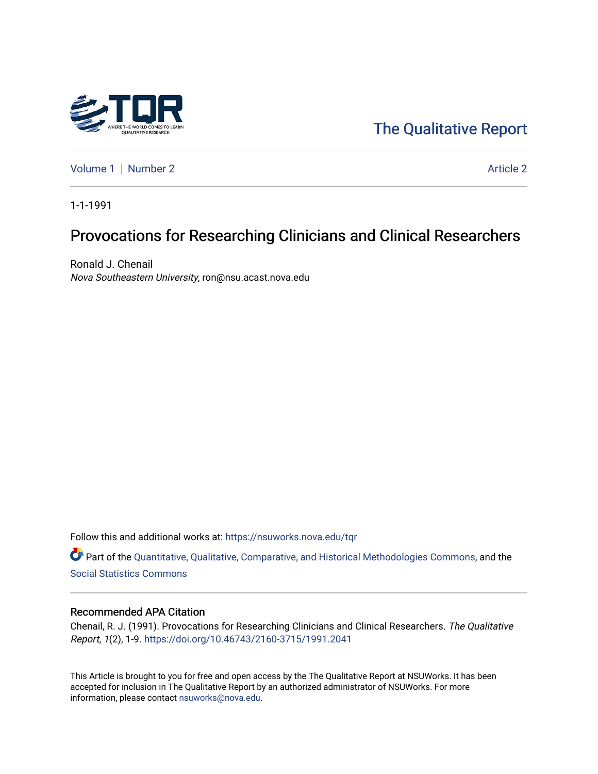

[The Qualitative Report](https://nsuworks.nova.edu/tqr) 

[Volume 1](https://nsuworks.nova.edu/tqr/vol1) | [Number 2](https://nsuworks.nova.edu/tqr/vol1/iss2) Article 2

1-1-1991

# Provocations for Researching Clinicians and Clinical Researchers

Ronald J. Chenail Nova Southeastern University, ron@nsu.acast.nova.edu

Follow this and additional works at: [https://nsuworks.nova.edu/tqr](https://nsuworks.nova.edu/tqr?utm_source=nsuworks.nova.edu%2Ftqr%2Fvol1%2Fiss2%2F2&utm_medium=PDF&utm_campaign=PDFCoverPages) 

Part of the [Quantitative, Qualitative, Comparative, and Historical Methodologies Commons,](http://network.bepress.com/hgg/discipline/423?utm_source=nsuworks.nova.edu%2Ftqr%2Fvol1%2Fiss2%2F2&utm_medium=PDF&utm_campaign=PDFCoverPages) and the [Social Statistics Commons](http://network.bepress.com/hgg/discipline/1275?utm_source=nsuworks.nova.edu%2Ftqr%2Fvol1%2Fiss2%2F2&utm_medium=PDF&utm_campaign=PDFCoverPages) 

#### Recommended APA Citation

Chenail, R. J. (1991). Provocations for Researching Clinicians and Clinical Researchers. The Qualitative Report, 1(2), 1-9. <https://doi.org/10.46743/2160-3715/1991.2041>

This Article is brought to you for free and open access by the The Qualitative Report at NSUWorks. It has been accepted for inclusion in The Qualitative Report by an authorized administrator of NSUWorks. For more information, please contact [nsuworks@nova.edu.](mailto:nsuworks@nova.edu)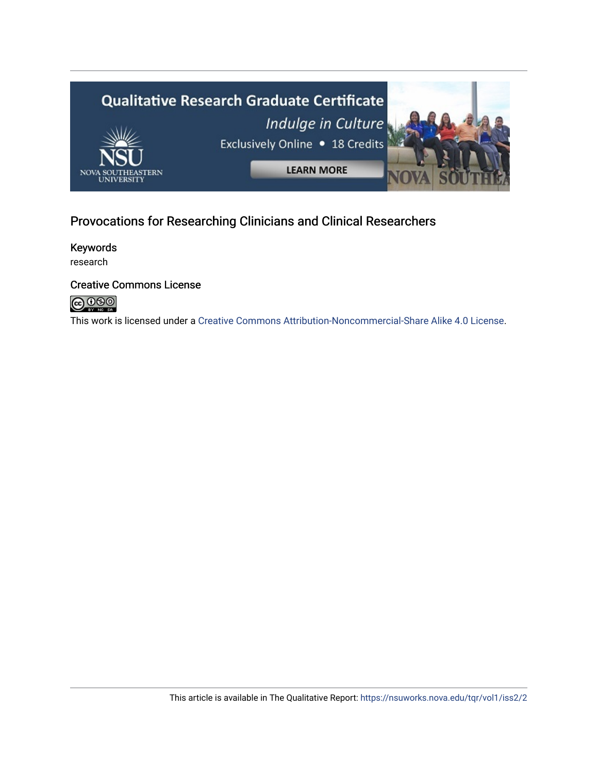

## Provocations for Researching Clinicians and Clinical Researchers

Keywords research

## Creative Commons License



This work is licensed under a [Creative Commons Attribution-Noncommercial-Share Alike 4.0 License](https://creativecommons.org/licenses/by-nc-sa/4.0/).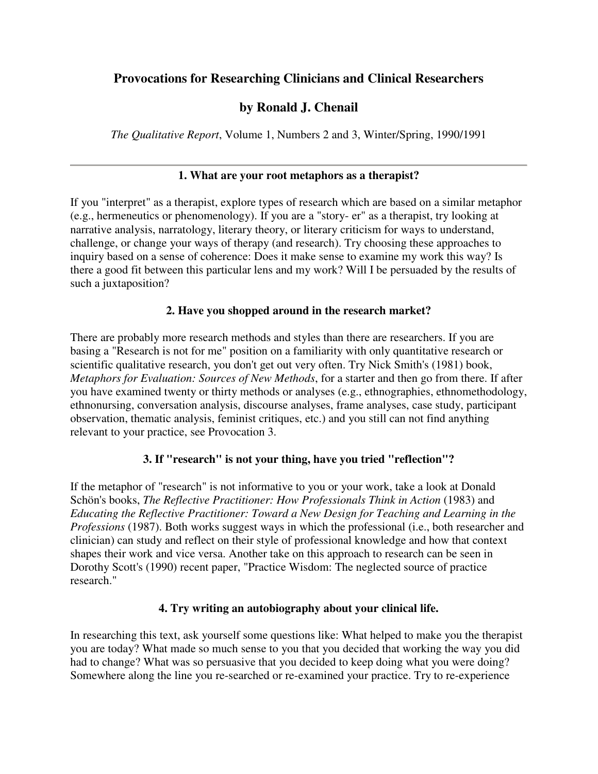## **Provocations for Researching Clinicians and Clinical Researchers**

## **by Ronald J. Chenail**

*The Qualitative Report*, Volume 1, Numbers 2 and 3, Winter/Spring, 1990/1991

#### **1. What are your root metaphors as a therapist?**

If you "interpret" as a therapist, explore types of research which are based on a similar metaphor (e.g., hermeneutics or phenomenology). If you are a "story- er" as a therapist, try looking at narrative analysis, narratology, literary theory, or literary criticism for ways to understand, challenge, or change your ways of therapy (and research). Try choosing these approaches to inquiry based on a sense of coherence: Does it make sense to examine my work this way? Is there a good fit between this particular lens and my work? Will I be persuaded by the results of such a juxtaposition?

#### **2. Have you shopped around in the research market?**

There are probably more research methods and styles than there are researchers. If you are basing a "Research is not for me" position on a familiarity with only quantitative research or scientific qualitative research, you don't get out very often. Try Nick Smith's (1981) book, *Metaphors for Evaluation: Sources of New Methods*, for a starter and then go from there. If after you have examined twenty or thirty methods or analyses (e.g., ethnographies, ethnomethodology, ethnonursing, conversation analysis, discourse analyses, frame analyses, case study, participant observation, thematic analysis, feminist critiques, etc.) and you still can not find anything relevant to your practice, see Provocation 3.

#### **3. If "research" is not your thing, have you tried "reflection"?**

If the metaphor of "research" is not informative to you or your work, take a look at Donald Schön's books, *The Reflective Practitioner: How Professionals Think in Action* (1983) and *Educating the Reflective Practitioner: Toward a New Design for Teaching and Learning in the Professions* (1987). Both works suggest ways in which the professional (i.e., both researcher and clinician) can study and reflect on their style of professional knowledge and how that context shapes their work and vice versa. Another take on this approach to research can be seen in Dorothy Scott's (1990) recent paper, "Practice Wisdom: The neglected source of practice research."

#### **4. Try writing an autobiography about your clinical life.**

In researching this text, ask yourself some questions like: What helped to make you the therapist you are today? What made so much sense to you that you decided that working the way you did had to change? What was so persuasive that you decided to keep doing what you were doing? Somewhere along the line you re-searched or re-examined your practice. Try to re-experience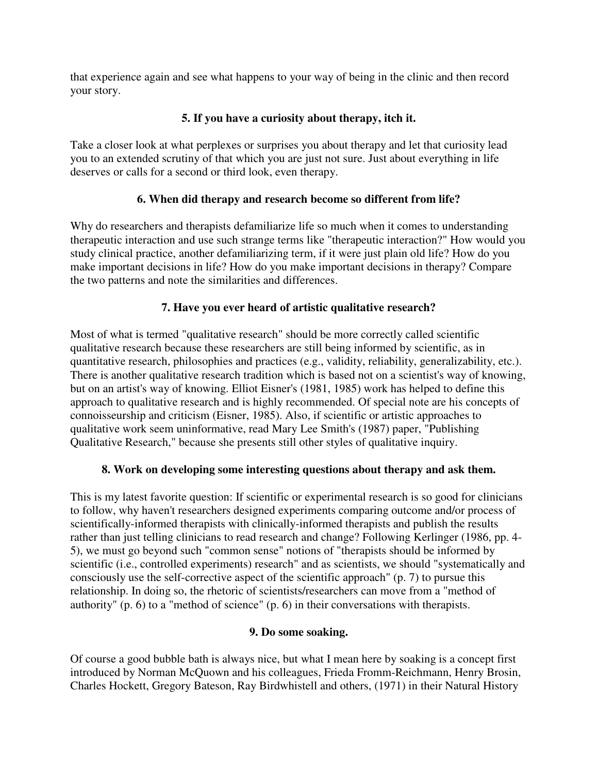that experience again and see what happens to your way of being in the clinic and then record your story.

## **5. If you have a curiosity about therapy, itch it.**

Take a closer look at what perplexes or surprises you about therapy and let that curiosity lead you to an extended scrutiny of that which you are just not sure. Just about everything in life deserves or calls for a second or third look, even therapy.

## **6. When did therapy and research become so different from life?**

Why do researchers and therapists defamiliarize life so much when it comes to understanding therapeutic interaction and use such strange terms like "therapeutic interaction?" How would you study clinical practice, another defamiliarizing term, if it were just plain old life? How do you make important decisions in life? How do you make important decisions in therapy? Compare the two patterns and note the similarities and differences.

## **7. Have you ever heard of artistic qualitative research?**

Most of what is termed "qualitative research" should be more correctly called scientific qualitative research because these researchers are still being informed by scientific, as in quantitative research, philosophies and practices (e.g., validity, reliability, generalizability, etc.). There is another qualitative research tradition which is based not on a scientist's way of knowing, but on an artist's way of knowing. Elliot Eisner's (1981, 1985) work has helped to define this approach to qualitative research and is highly recommended. Of special note are his concepts of connoisseurship and criticism (Eisner, 1985). Also, if scientific or artistic approaches to qualitative work seem uninformative, read Mary Lee Smith's (1987) paper, "Publishing Qualitative Research," because she presents still other styles of qualitative inquiry.

#### **8. Work on developing some interesting questions about therapy and ask them.**

This is my latest favorite question: If scientific or experimental research is so good for clinicians to follow, why haven't researchers designed experiments comparing outcome and/or process of scientifically-informed therapists with clinically-informed therapists and publish the results rather than just telling clinicians to read research and change? Following Kerlinger (1986, pp. 4- 5), we must go beyond such "common sense" notions of "therapists should be informed by scientific (i.e., controlled experiments) research" and as scientists, we should "systematically and consciously use the self-corrective aspect of the scientific approach" (p. 7) to pursue this relationship. In doing so, the rhetoric of scientists/researchers can move from a "method of authority" (p. 6) to a "method of science" (p. 6) in their conversations with therapists.

#### **9. Do some soaking.**

Of course a good bubble bath is always nice, but what I mean here by soaking is a concept first introduced by Norman McQuown and his colleagues, Frieda Fromm-Reichmann, Henry Brosin, Charles Hockett, Gregory Bateson, Ray Birdwhistell and others, (1971) in their Natural History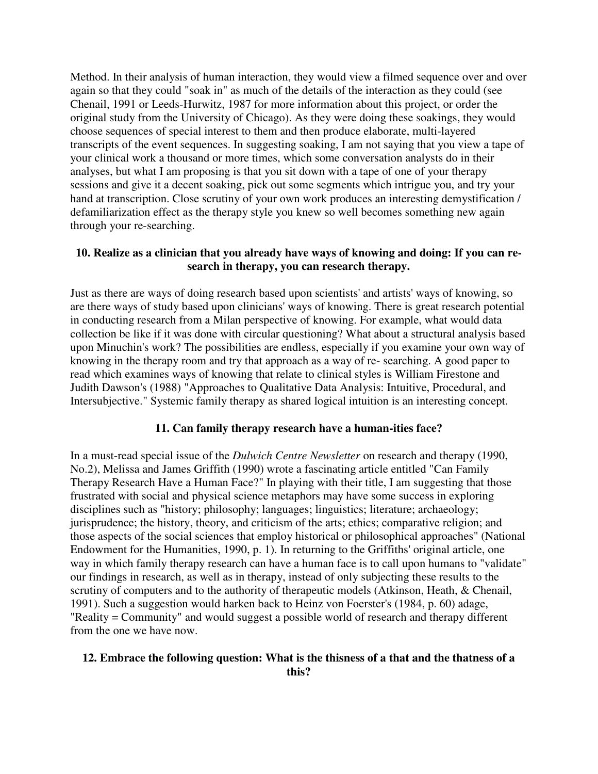Method. In their analysis of human interaction, they would view a filmed sequence over and over again so that they could "soak in" as much of the details of the interaction as they could (see Chenail, 1991 or Leeds-Hurwitz, 1987 for more information about this project, or order the original study from the University of Chicago). As they were doing these soakings, they would choose sequences of special interest to them and then produce elaborate, multi-layered transcripts of the event sequences. In suggesting soaking, I am not saying that you view a tape of your clinical work a thousand or more times, which some conversation analysts do in their analyses, but what I am proposing is that you sit down with a tape of one of your therapy sessions and give it a decent soaking, pick out some segments which intrigue you, and try your hand at transcription. Close scrutiny of your own work produces an interesting demystification / defamiliarization effect as the therapy style you knew so well becomes something new again through your re-searching.

#### **10. Realize as a clinician that you already have ways of knowing and doing: If you can research in therapy, you can research therapy.**

Just as there are ways of doing research based upon scientists' and artists' ways of knowing, so are there ways of study based upon clinicians' ways of knowing. There is great research potential in conducting research from a Milan perspective of knowing. For example, what would data collection be like if it was done with circular questioning? What about a structural analysis based upon Minuchin's work? The possibilities are endless, especially if you examine your own way of knowing in the therapy room and try that approach as a way of re- searching. A good paper to read which examines ways of knowing that relate to clinical styles is William Firestone and Judith Dawson's (1988) "Approaches to Qualitative Data Analysis: Intuitive, Procedural, and Intersubjective." Systemic family therapy as shared logical intuition is an interesting concept.

#### **11. Can family therapy research have a human-ities face?**

In a must-read special issue of the *Dulwich Centre Newsletter* on research and therapy (1990, No.2), Melissa and James Griffith (1990) wrote a fascinating article entitled "Can Family Therapy Research Have a Human Face?" In playing with their title, I am suggesting that those frustrated with social and physical science metaphors may have some success in exploring disciplines such as "history; philosophy; languages; linguistics; literature; archaeology; jurisprudence; the history, theory, and criticism of the arts; ethics; comparative religion; and those aspects of the social sciences that employ historical or philosophical approaches" (National Endowment for the Humanities, 1990, p. 1). In returning to the Griffiths' original article, one way in which family therapy research can have a human face is to call upon humans to "validate" our findings in research, as well as in therapy, instead of only subjecting these results to the scrutiny of computers and to the authority of therapeutic models (Atkinson, Heath, & Chenail, 1991). Such a suggestion would harken back to Heinz von Foerster's (1984, p. 60) adage, "Reality = Community" and would suggest a possible world of research and therapy different from the one we have now.

#### **12. Embrace the following question: What is the thisness of a that and the thatness of a this?**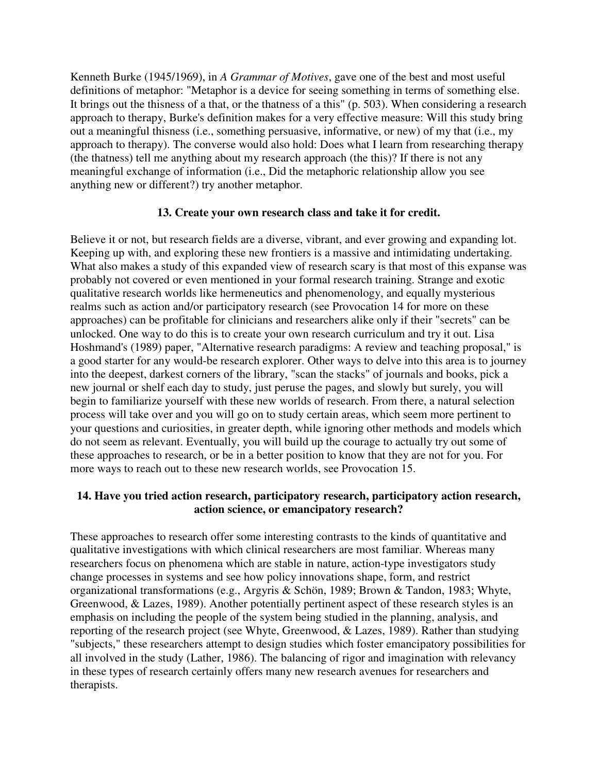Kenneth Burke (1945/1969), in *A Grammar of Motives*, gave one of the best and most useful definitions of metaphor: "Metaphor is a device for seeing something in terms of something else. It brings out the thisness of a that, or the thatness of a this" (p. 503). When considering a research approach to therapy, Burke's definition makes for a very effective measure: Will this study bring out a meaningful thisness (i.e., something persuasive, informative, or new) of my that (i.e., my approach to therapy). The converse would also hold: Does what I learn from researching therapy (the thatness) tell me anything about my research approach (the this)? If there is not any meaningful exchange of information (i.e., Did the metaphoric relationship allow you see anything new or different?) try another metaphor.

#### **13. Create your own research class and take it for credit.**

Believe it or not, but research fields are a diverse, vibrant, and ever growing and expanding lot. Keeping up with, and exploring these new frontiers is a massive and intimidating undertaking. What also makes a study of this expanded view of research scary is that most of this expanse was probably not covered or even mentioned in your formal research training. Strange and exotic qualitative research worlds like hermeneutics and phenomenology, and equally mysterious realms such as action and/or participatory research (see Provocation 14 for more on these approaches) can be profitable for clinicians and researchers alike only if their "secrets" can be unlocked. One way to do this is to create your own research curriculum and try it out. Lisa Hoshmand's (1989) paper, "Alternative research paradigms: A review and teaching proposal," is a good starter for any would-be research explorer. Other ways to delve into this area is to journey into the deepest, darkest corners of the library, "scan the stacks" of journals and books, pick a new journal or shelf each day to study, just peruse the pages, and slowly but surely, you will begin to familiarize yourself with these new worlds of research. From there, a natural selection process will take over and you will go on to study certain areas, which seem more pertinent to your questions and curiosities, in greater depth, while ignoring other methods and models which do not seem as relevant. Eventually, you will build up the courage to actually try out some of these approaches to research, or be in a better position to know that they are not for you. For more ways to reach out to these new research worlds, see Provocation 15.

#### **14. Have you tried action research, participatory research, participatory action research, action science, or emancipatory research?**

These approaches to research offer some interesting contrasts to the kinds of quantitative and qualitative investigations with which clinical researchers are most familiar. Whereas many researchers focus on phenomena which are stable in nature, action-type investigators study change processes in systems and see how policy innovations shape, form, and restrict organizational transformations (e.g., Argyris & Schön, 1989; Brown & Tandon, 1983; Whyte, Greenwood, & Lazes, 1989). Another potentially pertinent aspect of these research styles is an emphasis on including the people of the system being studied in the planning, analysis, and reporting of the research project (see Whyte, Greenwood, & Lazes, 1989). Rather than studying "subjects," these researchers attempt to design studies which foster emancipatory possibilities for all involved in the study (Lather, 1986). The balancing of rigor and imagination with relevancy in these types of research certainly offers many new research avenues for researchers and therapists.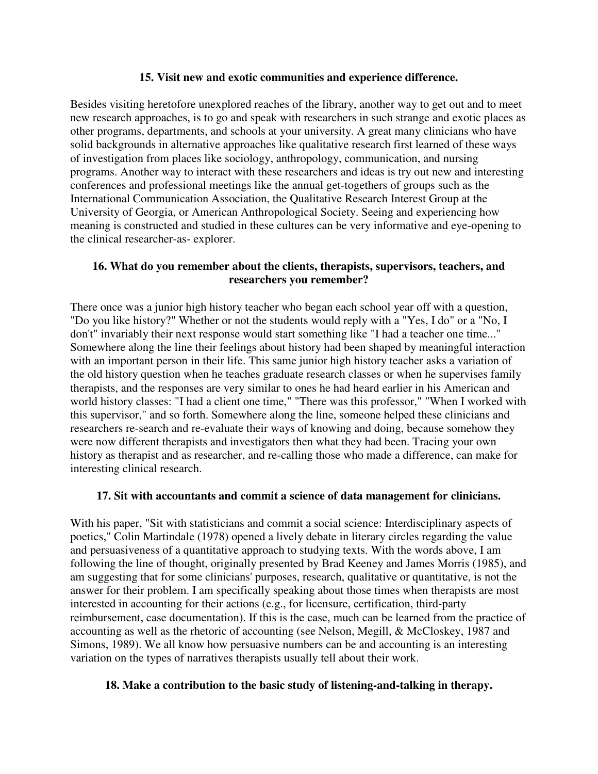#### **15. Visit new and exotic communities and experience difference.**

Besides visiting heretofore unexplored reaches of the library, another way to get out and to meet new research approaches, is to go and speak with researchers in such strange and exotic places as other programs, departments, and schools at your university. A great many clinicians who have solid backgrounds in alternative approaches like qualitative research first learned of these ways of investigation from places like sociology, anthropology, communication, and nursing programs. Another way to interact with these researchers and ideas is try out new and interesting conferences and professional meetings like the annual get-togethers of groups such as the International Communication Association, the Qualitative Research Interest Group at the University of Georgia, or American Anthropological Society. Seeing and experiencing how meaning is constructed and studied in these cultures can be very informative and eye-opening to the clinical researcher-as- explorer.

#### **16. What do you remember about the clients, therapists, supervisors, teachers, and researchers you remember?**

There once was a junior high history teacher who began each school year off with a question, "Do you like history?" Whether or not the students would reply with a "Yes, I do" or a "No, I don't" invariably their next response would start something like "I had a teacher one time..." Somewhere along the line their feelings about history had been shaped by meaningful interaction with an important person in their life. This same junior high history teacher asks a variation of the old history question when he teaches graduate research classes or when he supervises family therapists, and the responses are very similar to ones he had heard earlier in his American and world history classes: "I had a client one time," "There was this professor," "When I worked with this supervisor," and so forth. Somewhere along the line, someone helped these clinicians and researchers re-search and re-evaluate their ways of knowing and doing, because somehow they were now different therapists and investigators then what they had been. Tracing your own history as therapist and as researcher, and re-calling those who made a difference, can make for interesting clinical research.

#### **17. Sit with accountants and commit a science of data management for clinicians.**

With his paper, "Sit with statisticians and commit a social science: Interdisciplinary aspects of poetics," Colin Martindale (1978) opened a lively debate in literary circles regarding the value and persuasiveness of a quantitative approach to studying texts. With the words above, I am following the line of thought, originally presented by Brad Keeney and James Morris (1985), and am suggesting that for some clinicians' purposes, research, qualitative or quantitative, is not the answer for their problem. I am specifically speaking about those times when therapists are most interested in accounting for their actions (e.g., for licensure, certification, third-party reimbursement, case documentation). If this is the case, much can be learned from the practice of accounting as well as the rhetoric of accounting (see Nelson, Megill, & McCloskey, 1987 and Simons, 1989). We all know how persuasive numbers can be and accounting is an interesting variation on the types of narratives therapists usually tell about their work.

#### **18. Make a contribution to the basic study of listening-and-talking in therapy.**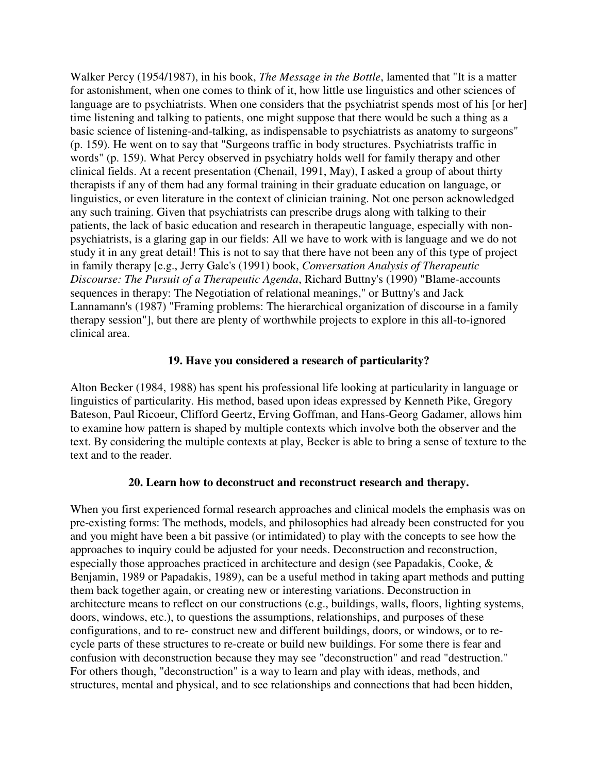Walker Percy (1954/1987), in his book, *The Message in the Bottle*, lamented that "It is a matter for astonishment, when one comes to think of it, how little use linguistics and other sciences of language are to psychiatrists. When one considers that the psychiatrist spends most of his [or her] time listening and talking to patients, one might suppose that there would be such a thing as a basic science of listening-and-talking, as indispensable to psychiatrists as anatomy to surgeons" (p. 159). He went on to say that "Surgeons traffic in body structures. Psychiatrists traffic in words" (p. 159). What Percy observed in psychiatry holds well for family therapy and other clinical fields. At a recent presentation (Chenail, 1991, May), I asked a group of about thirty therapists if any of them had any formal training in their graduate education on language, or linguistics, or even literature in the context of clinician training. Not one person acknowledged any such training. Given that psychiatrists can prescribe drugs along with talking to their patients, the lack of basic education and research in therapeutic language, especially with nonpsychiatrists, is a glaring gap in our fields: All we have to work with is language and we do not study it in any great detail! This is not to say that there have not been any of this type of project in family therapy [e.g., Jerry Gale's (1991) book, *Conversation Analysis of Therapeutic Discourse: The Pursuit of a Therapeutic Agenda*, Richard Buttny's (1990) "Blame-accounts sequences in therapy: The Negotiation of relational meanings," or Buttny's and Jack Lannamann's (1987) "Framing problems: The hierarchical organization of discourse in a family therapy session"], but there are plenty of worthwhile projects to explore in this all-to-ignored clinical area.

#### **19. Have you considered a research of particularity?**

Alton Becker (1984, 1988) has spent his professional life looking at particularity in language or linguistics of particularity. His method, based upon ideas expressed by Kenneth Pike, Gregory Bateson, Paul Ricoeur, Clifford Geertz, Erving Goffman, and Hans-Georg Gadamer, allows him to examine how pattern is shaped by multiple contexts which involve both the observer and the text. By considering the multiple contexts at play, Becker is able to bring a sense of texture to the text and to the reader.

#### **20. Learn how to deconstruct and reconstruct research and therapy.**

When you first experienced formal research approaches and clinical models the emphasis was on pre-existing forms: The methods, models, and philosophies had already been constructed for you and you might have been a bit passive (or intimidated) to play with the concepts to see how the approaches to inquiry could be adjusted for your needs. Deconstruction and reconstruction, especially those approaches practiced in architecture and design (see Papadakis, Cooke, & Benjamin, 1989 or Papadakis, 1989), can be a useful method in taking apart methods and putting them back together again, or creating new or interesting variations. Deconstruction in architecture means to reflect on our constructions (e.g., buildings, walls, floors, lighting systems, doors, windows, etc.), to questions the assumptions, relationships, and purposes of these configurations, and to re- construct new and different buildings, doors, or windows, or to recycle parts of these structures to re-create or build new buildings. For some there is fear and confusion with deconstruction because they may see "deconstruction" and read "destruction." For others though, "deconstruction" is a way to learn and play with ideas, methods, and structures, mental and physical, and to see relationships and connections that had been hidden,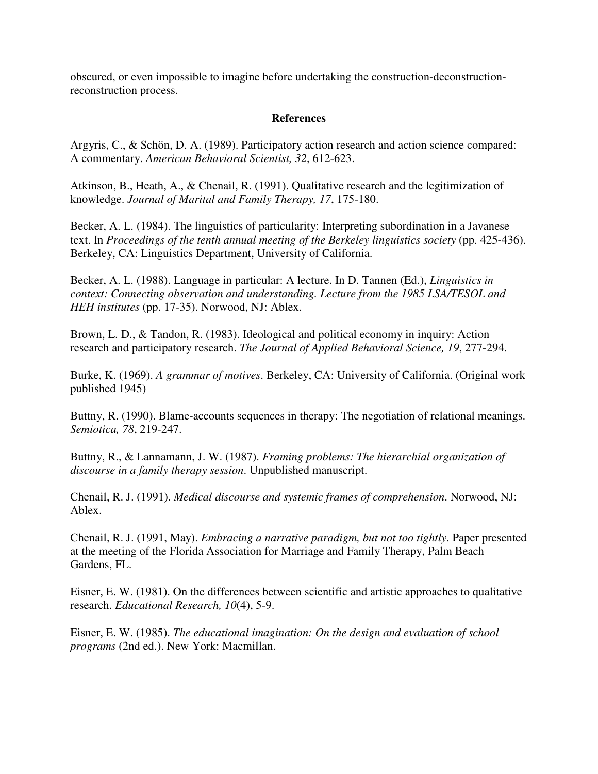obscured, or even impossible to imagine before undertaking the construction-deconstructionreconstruction process.

#### **References**

Argyris, C., & Schön, D. A. (1989). Participatory action research and action science compared: A commentary. *American Behavioral Scientist, 32*, 612-623.

Atkinson, B., Heath, A., & Chenail, R. (1991). Qualitative research and the legitimization of knowledge. *Journal of Marital and Family Therapy, 17*, 175-180.

Becker, A. L. (1984). The linguistics of particularity: Interpreting subordination in a Javanese text. In *Proceedings of the tenth annual meeting of the Berkeley linguistics society* (pp. 425-436). Berkeley, CA: Linguistics Department, University of California.

Becker, A. L. (1988). Language in particular: A lecture. In D. Tannen (Ed.), *Linguistics in context: Connecting observation and understanding. Lecture from the 1985 LSA/TESOL and HEH institutes* (pp. 17-35). Norwood, NJ: Ablex.

Brown, L. D., & Tandon, R. (1983). Ideological and political economy in inquiry: Action research and participatory research. *The Journal of Applied Behavioral Science, 19*, 277-294.

Burke, K. (1969). *A grammar of motives*. Berkeley, CA: University of California. (Original work published 1945)

Buttny, R. (1990). Blame-accounts sequences in therapy: The negotiation of relational meanings. *Semiotica, 78*, 219-247.

Buttny, R., & Lannamann, J. W. (1987). *Framing problems: The hierarchial organization of discourse in a family therapy session*. Unpublished manuscript.

Chenail, R. J. (1991). *Medical discourse and systemic frames of comprehension*. Norwood, NJ: Ablex.

Chenail, R. J. (1991, May). *Embracing a narrative paradigm, but not too tightly*. Paper presented at the meeting of the Florida Association for Marriage and Family Therapy, Palm Beach Gardens, FL.

Eisner, E. W. (1981). On the differences between scientific and artistic approaches to qualitative research. *Educational Research, 10*(4), 5-9.

Eisner, E. W. (1985). *The educational imagination: On the design and evaluation of school programs* (2nd ed.). New York: Macmillan.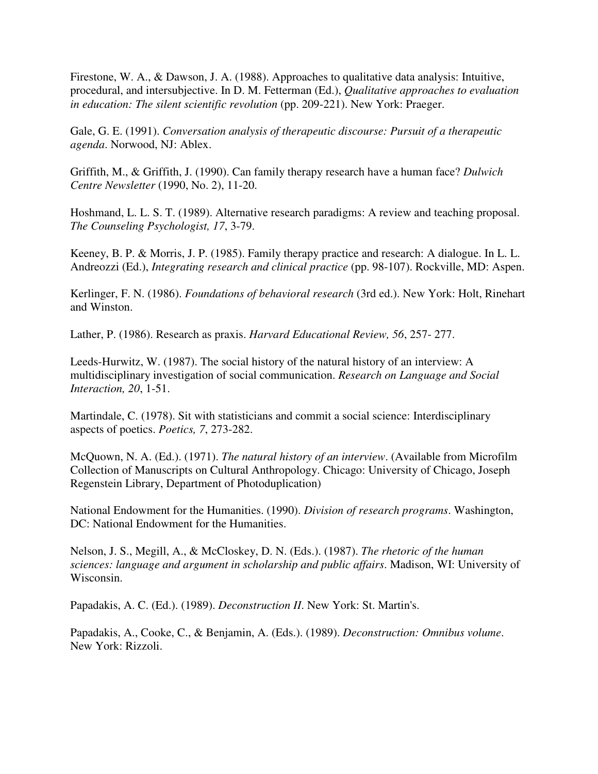Firestone, W. A., & Dawson, J. A. (1988). Approaches to qualitative data analysis: Intuitive, procedural, and intersubjective. In D. M. Fetterman (Ed.), *Qualitative approaches to evaluation in education: The silent scientific revolution* (pp. 209-221). New York: Praeger.

Gale, G. E. (1991). *Conversation analysis of therapeutic discourse: Pursuit of a therapeutic agenda*. Norwood, NJ: Ablex.

Griffith, M., & Griffith, J. (1990). Can family therapy research have a human face? *Dulwich Centre Newsletter* (1990, No. 2), 11-20.

Hoshmand, L. L. S. T. (1989). Alternative research paradigms: A review and teaching proposal. *The Counseling Psychologist, 17*, 3-79.

Keeney, B. P. & Morris, J. P. (1985). Family therapy practice and research: A dialogue. In L. L. Andreozzi (Ed.), *Integrating research and clinical practice* (pp. 98-107). Rockville, MD: Aspen.

Kerlinger, F. N. (1986). *Foundations of behavioral research* (3rd ed.). New York: Holt, Rinehart and Winston.

Lather, P. (1986). Research as praxis. *Harvard Educational Review, 56*, 257- 277.

Leeds-Hurwitz, W. (1987). The social history of the natural history of an interview: A multidisciplinary investigation of social communication. *Research on Language and Social Interaction, 20*, 1-51.

Martindale, C. (1978). Sit with statisticians and commit a social science: Interdisciplinary aspects of poetics. *Poetics, 7*, 273-282.

McQuown, N. A. (Ed.). (1971). *The natural history of an interview*. (Available from Microfilm Collection of Manuscripts on Cultural Anthropology. Chicago: University of Chicago, Joseph Regenstein Library, Department of Photoduplication)

National Endowment for the Humanities. (1990). *Division of research programs*. Washington, DC: National Endowment for the Humanities.

Nelson, J. S., Megill, A., & McCloskey, D. N. (Eds.). (1987). *The rhetoric of the human sciences: language and argument in scholarship and public affairs*. Madison, WI: University of Wisconsin.

Papadakis, A. C. (Ed.). (1989). *Deconstruction II*. New York: St. Martin's.

Papadakis, A., Cooke, C., & Benjamin, A. (Eds.). (1989). *Deconstruction: Omnibus volume*. New York: Rizzoli.